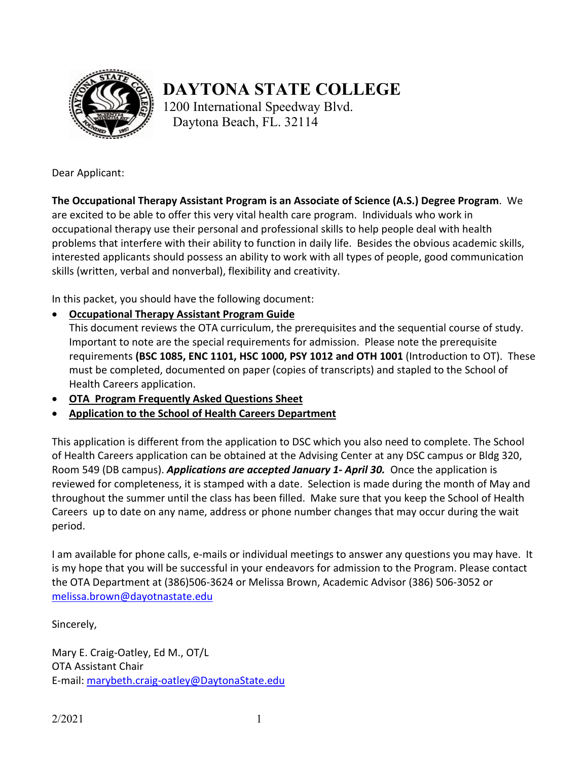

# **DAYTONA STATE COLLEGE**

1200 International Speedway Blvd. Daytona Beach, FL. 32114

Dear Applicant:

**The Occupational Therapy Assistant Program is an Associate of Science (A.S.) Degree Program**. We are excited to be able to offer this very vital health care program. Individuals who work in occupational therapy use their personal and professional skills to help people deal with health problems that interfere with their ability to function in daily life. Besides the obvious academic skills, interested applicants should possess an ability to work with all types of people, good communication skills (written, verbal and nonverbal), flexibility and creativity.

In this packet, you should have the following document:

• **Occupational Therapy Assistant Program Guide**

This document reviews the OTA curriculum, the prerequisites and the sequential course of study. Important to note are the special requirements for admission. Please note the prerequisite requirements **(BSC 1085, ENC 1101, HSC 1000, PSY 1012 and OTH 1001** (Introduction to OT). These must be completed, documented on paper (copies of transcripts) and stapled to the School of Health Careers application.

- **OTA Program Frequently Asked Questions Sheet**
- **Application to the School of Health Careers Department**

This application is different from the application to DSC which you also need to complete. The School of Health Careers application can be obtained at the Advising Center at any DSC campus or Bldg 320, Room 549 (DB campus). *Applications are accepted January 1- April 30.* Once the application is reviewed for completeness, it is stamped with a date. Selection is made during the month of May and throughout the summer until the class has been filled. Make sure that you keep the School of Health Careers up to date on any name, address or phone number changes that may occur during the wait period.

I am available for phone calls, e-mails or individual meetings to answer any questions you may have. It is my hope that you will be successful in your endeavors for admission to the Program. Please contact the OTA Department at (386)506-3624 or Melissa Brown, Academic Advisor (386) 506-3052 or [melissa.brown@dayotnastate.edu](mailto:melissa.brown@dayotnastate.edu)

Sincerely,

Mary E. Craig-Oatley, Ed M., OT/L OTA Assistant Chair E-mail: [marybeth.craig-oatley@DaytonaState.edu](mailto:marybeth.craig-oatley@DaytonaState.edu)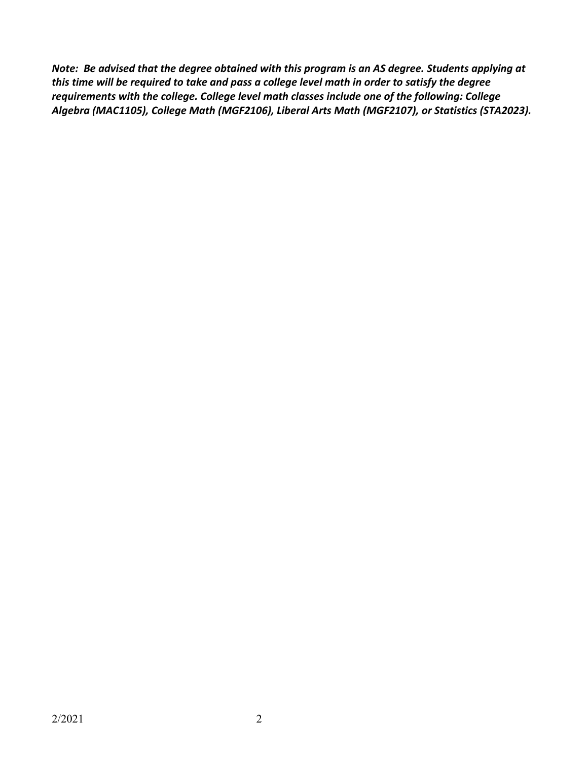*Note: Be advised that the degree obtained with this program is an AS degree. Students applying at this time will be required to take and pass a college level math in order to satisfy the degree requirements with the college. College level math classes include one of the following: College Algebra (MAC1105), College Math (MGF2106), Liberal Arts Math (MGF2107), or Statistics (STA2023).*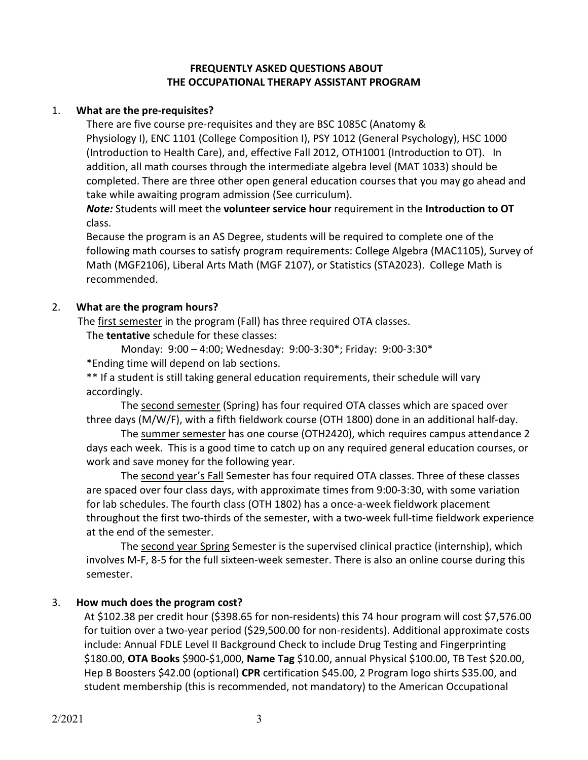#### **FREQUENTLY ASKED QUESTIONS ABOUT THE OCCUPATIONAL THERAPY ASSISTANT PROGRAM**

## 1. **What are the pre-requisites?**

There are five course pre-requisites and they are BSC 1085C (Anatomy & Physiology I), ENC 1101 (College Composition I), PSY 1012 (General Psychology), HSC 1000 (Introduction to Health Care), and, effective Fall 2012, OTH1001 (Introduction to OT). In addition, all math courses through the intermediate algebra level (MAT 1033) should be completed. There are three other open general education courses that you may go ahead and take while awaiting program admission (See curriculum).

*Note:* Students will meet the **volunteer service hour** requirement in the **Introduction to OT** class.

Because the program is an AS Degree, students will be required to complete one of the following math courses to satisfy program requirements: College Algebra (MAC1105), Survey of Math (MGF2106), Liberal Arts Math (MGF 2107), or Statistics (STA2023). College Math is recommended.

## 2. **What are the program hours?**

The first semester in the program (Fall) has three required OTA classes.

The **tentative** schedule for these classes:

Monday: 9:00 – 4:00; Wednesday: 9:00-3:30\*; Friday: 9:00-3:30\* \*Ending time will depend on lab sections.

\*\* If a student is still taking general education requirements, their schedule will vary accordingly.

The second semester (Spring) has four required OTA classes which are spaced over three days (M/W/F), with a fifth fieldwork course (OTH 1800) done in an additional half-day.

The summer semester has one course (OTH2420), which requires campus attendance 2 days each week. This is a good time to catch up on any required general education courses, or work and save money for the following year.

The second year's Fall Semester has four required OTA classes. Three of these classes are spaced over four class days, with approximate times from 9:00-3:30, with some variation for lab schedules. The fourth class (OTH 1802) has a once-a-week fieldwork placement throughout the first two-thirds of the semester, with a two-week full-time fieldwork experience at the end of the semester.

The second year Spring Semester is the supervised clinical practice (internship), which involves M-F, 8-5 for the full sixteen-week semester. There is also an online course during this semester.

# 3. **How much does the program cost?**

At \$102.38 per credit hour (\$398.65 for non-residents) this 74 hour program will cost \$7,576.00 for tuition over a two-year period (\$29,500.00 for non-residents). Additional approximate costs include: Annual FDLE Level II Background Check to include Drug Testing and Fingerprinting \$180.00, **OTA Books** \$900-\$1,000, **Name Tag** \$10.00, annual Physical \$100.00, TB Test \$20.00, Hep B Boosters \$42.00 (optional) **CPR** certification \$45.00, 2 Program logo shirts \$35.00, and student membership (this is recommended, not mandatory) to the American Occupational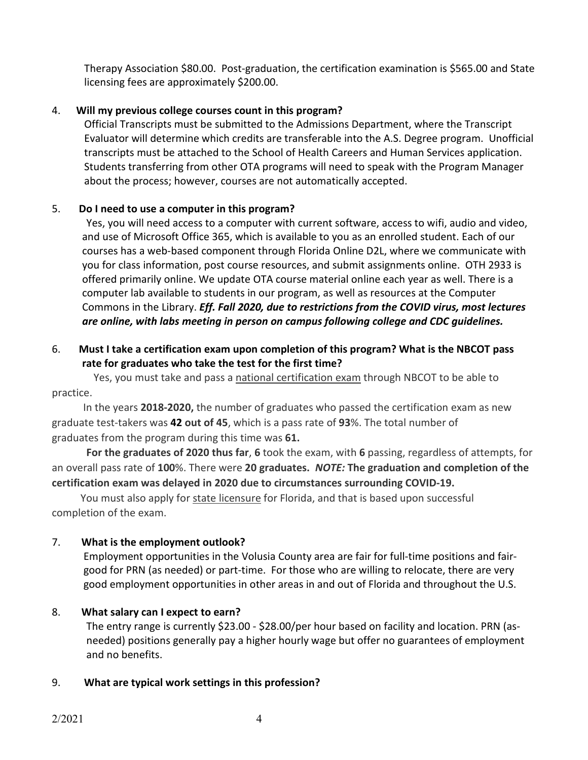Therapy Association \$80.00. Post-graduation, the certification examination is \$565.00 and State licensing fees are approximately \$200.00.

# 4. **Will my previous college courses count in this program?**

Official Transcripts must be submitted to the Admissions Department, where the Transcript Evaluator will determine which credits are transferable into the A.S. Degree program. Unofficial transcripts must be attached to the School of Health Careers and Human Services application. Students transferring from other OTA programs will need to speak with the Program Manager about the process; however, courses are not automatically accepted.

## 5. **Do I need to use a computer in this program?**

Yes, you will need access to a computer with current software, access to wifi, audio and video, and use of Microsoft Office 365, which is available to you as an enrolled student. Each of our courses has a web-based component through Florida Online D2L, where we communicate with you for class information, post course resources, and submit assignments online. OTH 2933 is offered primarily online. We update OTA course material online each year as well. There is a computer lab available to students in our program, as well as resources at the Computer Commons in the Library. *Eff. Fall 2020, due to restrictions from the COVID virus, most lectures are online, with labs meeting in person on campus following college and CDC guidelines.*

#### 6. **Must I take a certification exam upon completion of this program? What is the NBCOT pass rate for graduates who take the test for the first time?**

Yes, you must take and pass a national certification exam through NBCOT to be able to practice.

 In the years **2018-2020,** the number of graduates who passed the certification exam as new graduate test-takers was **42 out of 45**, which is a pass rate of **93**%. The total number of graduates from the program during this time was **61.** 

**For the graduates of 2020 thus far**, **6** took the exam, with **6** passing, regardless of attempts, for an overall pass rate of **100**%. There were **20 graduates.** *NOTE:* **The graduation and completion of the certification exam was delayed in 2020 due to circumstances surrounding COVID-19.**

 You must also apply for state licensure for Florida, and that is based upon successful completion of the exam.

# 7. **What is the employment outlook?**

Employment opportunities in the Volusia County area are fair for full-time positions and fairgood for PRN (as needed) or part-time. For those who are willing to relocate, there are very good employment opportunities in other areas in and out of Florida and throughout the U.S.

#### 8. **What salary can I expect to earn?**

The entry range is currently \$23.00 - \$28.00/per hour based on facility and location. PRN (asneeded) positions generally pay a higher hourly wage but offer no guarantees of employment and no benefits.

#### 9. **What are typical work settings in this profession?**